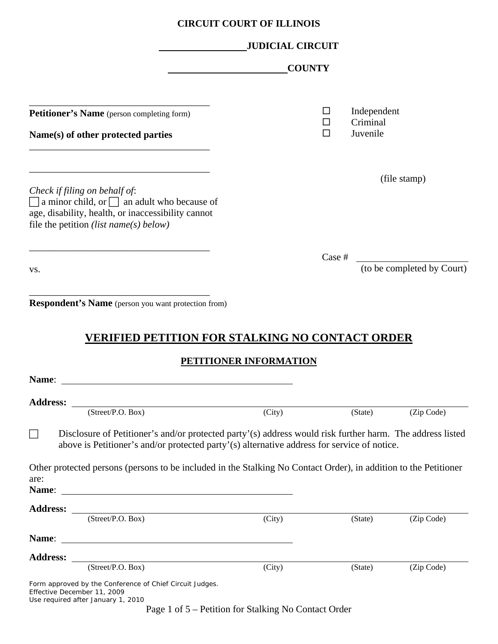|  |  | <b>CIRCUIT COURT OF ILLINOIS</b> |
|--|--|----------------------------------|
|--|--|----------------------------------|

|                                                                                                                                                                                                          | <b>JUDICIAL CIRCUIT</b>                              |             |                                     |                            |
|----------------------------------------------------------------------------------------------------------------------------------------------------------------------------------------------------------|------------------------------------------------------|-------------|-------------------------------------|----------------------------|
|                                                                                                                                                                                                          | <b>COUNTY</b>                                        |             |                                     |                            |
| Petitioner's Name (person completing form)<br>Name(s) of other protected parties                                                                                                                         |                                                      | □<br>□<br>□ | Independent<br>Criminal<br>Juvenile |                            |
| Check if filing on behalf of:<br>$\Box$ a minor child, or $\Box$ an adult who because of                                                                                                                 |                                                      |             |                                     | (file stamp)               |
| age, disability, health, or inaccessibility cannot<br>file the petition <i>(list name(s)</i> below)                                                                                                      |                                                      | Case #      |                                     |                            |
| VS.                                                                                                                                                                                                      |                                                      |             |                                     | (to be completed by Court) |
| <u>VERIFIED PETITION FOR STALKING NO CONTACT ORDER</u><br>Name:                                                                                                                                          | <b>PETITIONER INFORMATION</b>                        |             |                                     |                            |
| <b>Address:</b><br>(Street/P.O. Box)                                                                                                                                                                     | (City)                                               |             | (State)                             | (Zip Code)                 |
| Disclosure of Petitioner's and/or protected party'(s) address would risk further harm. The address listed<br>above is Petitioner's and/or protected party'(s) alternative address for service of notice. |                                                      |             |                                     |                            |
| Other protected persons (persons to be included in the Stalking No Contact Order), in addition to the Petitioner<br>are:                                                                                 |                                                      |             |                                     |                            |
| Address: $\frac{S(t)}{(Street/P.O. Box)}$                                                                                                                                                                | (City)                                               |             | (State)                             | (Zip Code)                 |
|                                                                                                                                                                                                          |                                                      |             |                                     |                            |
| Address: <u>(Street/P.O. Box)</u>                                                                                                                                                                        | (City)                                               |             | (State)                             | (Zip Code)                 |
| Form approved by the Conference of Chief Circuit Judges.<br>Effective December 11, 2009<br>Use required after January 1, 2010                                                                            | Page 1 of 5 – Petition for Stalking No Contact Order |             |                                     |                            |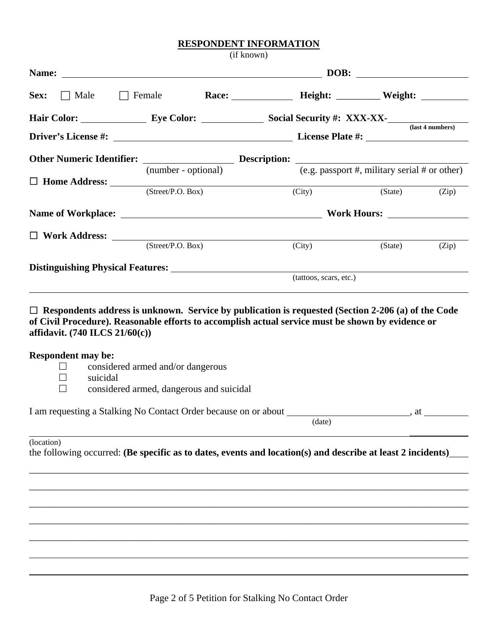## **RESPONDENT INFORMATION**

(if known)

| Name:                               |                                   |                                                                                                                                                                                                                                                                                                                                                                                    | <u> 1989 - Johann Stein, marwolaethau (b. 1989)</u>                                                                                                                                                                                      |                        |       |
|-------------------------------------|-----------------------------------|------------------------------------------------------------------------------------------------------------------------------------------------------------------------------------------------------------------------------------------------------------------------------------------------------------------------------------------------------------------------------------|------------------------------------------------------------------------------------------------------------------------------------------------------------------------------------------------------------------------------------------|------------------------|-------|
| Sex:<br>$\Box$ Male                 |                                   |                                                                                                                                                                                                                                                                                                                                                                                    | Female Race: Race: Height: Weight:                                                                                                                                                                                                       |                        |       |
|                                     |                                   |                                                                                                                                                                                                                                                                                                                                                                                    | Hair Color: Eye Color: Social Security #: XXX-XX-<br>(last 4 numbers)                                                                                                                                                                    |                        |       |
|                                     |                                   |                                                                                                                                                                                                                                                                                                                                                                                    |                                                                                                                                                                                                                                          |                        |       |
|                                     |                                   |                                                                                                                                                                                                                                                                                                                                                                                    | Other Numeric Identifier: $\frac{1}{(m_1 + m_2 + m_3 + m_4)}$ Description: $\frac{1}{(e.g. \text{password } #, \text{miliary serial } # \text{ or other})}$                                                                              |                        |       |
|                                     |                                   |                                                                                                                                                                                                                                                                                                                                                                                    |                                                                                                                                                                                                                                          |                        |       |
|                                     |                                   |                                                                                                                                                                                                                                                                                                                                                                                    | $\overline{(City)}$                                                                                                                                                                                                                      | (State)                | (Zip) |
|                                     |                                   |                                                                                                                                                                                                                                                                                                                                                                                    |                                                                                                                                                                                                                                          |                        |       |
|                                     |                                   | $\begin{tabular}{ll} \hline \rule{0pt}{2.5mm} \rule{0pt}{2.5mm} \rule{0pt}{2.5mm} \rule{0pt}{2.5mm} \rule{0pt}{2.5mm} \rule{0pt}{2.5mm} \rule{0pt}{2.5mm} \rule{0pt}{2.5mm} \rule{0pt}{2.5mm} \rule{0pt}{2.5mm} \rule{0pt}{2.5mm} \rule{0pt}{2.5mm} \rule{0pt}{2.5mm} \rule{0pt}{2.5mm} \rule{0pt}{2.5mm} \rule{0pt}{2.5mm} \rule{0pt}{2.5mm} \rule{0pt}{2.5mm} \rule{0pt}{2.5mm}$ |                                                                                                                                                                                                                                          |                        |       |
|                                     |                                   |                                                                                                                                                                                                                                                                                                                                                                                    | (City)                                                                                                                                                                                                                                   | (State)                | (Zip) |
|                                     |                                   |                                                                                                                                                                                                                                                                                                                                                                                    |                                                                                                                                                                                                                                          |                        |       |
| affidavit. $(740$ ILCS $21/60(c)$ ) |                                   |                                                                                                                                                                                                                                                                                                                                                                                    | (tattoos, scars, etc.)<br>$\Box$ Respondents address is unknown. Service by publication is requested (Section 2-206 (a) of the Code<br>of Civil Procedure). Reasonable efforts to accomplish actual service must be shown by evidence or |                        |       |
| <b>Respondent may be:</b><br>ш      | considered armed and/or dangerous |                                                                                                                                                                                                                                                                                                                                                                                    |                                                                                                                                                                                                                                          |                        |       |
| $\Box$<br>$\mathsf{L}$              | suicidal                          | considered armed, dangerous and suicidal                                                                                                                                                                                                                                                                                                                                           |                                                                                                                                                                                                                                          |                        |       |
|                                     |                                   |                                                                                                                                                                                                                                                                                                                                                                                    | I am requesting a Stalking No Contact Order because on or about ________________<br>(date)                                                                                                                                               | $\alpha$ , at $\alpha$ |       |
| (location)                          |                                   |                                                                                                                                                                                                                                                                                                                                                                                    | the following occurred: (Be specific as to dates, events and location(s) and describe at least 2 incidents)                                                                                                                              |                        |       |
|                                     |                                   |                                                                                                                                                                                                                                                                                                                                                                                    |                                                                                                                                                                                                                                          |                        |       |
|                                     |                                   |                                                                                                                                                                                                                                                                                                                                                                                    |                                                                                                                                                                                                                                          |                        |       |
|                                     |                                   |                                                                                                                                                                                                                                                                                                                                                                                    |                                                                                                                                                                                                                                          |                        |       |
|                                     |                                   |                                                                                                                                                                                                                                                                                                                                                                                    |                                                                                                                                                                                                                                          |                        |       |

 $\overline{a}$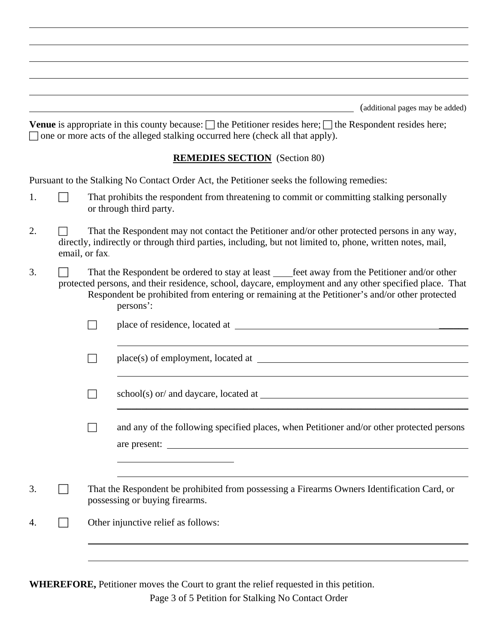|    |                | (additional pages may be added)<br>Venue is appropriate in this county because: $\Box$ the Petitioner resides here; $\Box$ the Respondent resides here;<br>$\Box$ one or more acts of the alleged stalking occurred here (check all that apply).                                                                          |
|----|----------------|---------------------------------------------------------------------------------------------------------------------------------------------------------------------------------------------------------------------------------------------------------------------------------------------------------------------------|
|    |                | <b>REMEDIES SECTION</b> (Section 80)                                                                                                                                                                                                                                                                                      |
|    |                | Pursuant to the Stalking No Contact Order Act, the Petitioner seeks the following remedies:                                                                                                                                                                                                                               |
| 1. |                | That prohibits the respondent from threatening to commit or committing stalking personally<br>or through third party.                                                                                                                                                                                                     |
| 2. | email, or fax. | That the Respondent may not contact the Petitioner and/or other protected persons in any way,<br>directly, indirectly or through third parties, including, but not limited to, phone, written notes, mail,                                                                                                                |
| 3. |                | That the Respondent be ordered to stay at least _____feet away from the Petitioner and/or other<br>protected persons, and their residence, school, daycare, employment and any other specified place. That<br>Respondent be prohibited from entering or remaining at the Petitioner's and/or other protected<br>persons': |
|    |                |                                                                                                                                                                                                                                                                                                                           |
|    |                |                                                                                                                                                                                                                                                                                                                           |
|    |                |                                                                                                                                                                                                                                                                                                                           |
|    |                | and any of the following specified places, when Petitioner and/or other protected persons<br>are present:                                                                                                                                                                                                                 |
|    |                |                                                                                                                                                                                                                                                                                                                           |
| 3. |                | That the Respondent be prohibited from possessing a Firearms Owners Identification Card, or<br>possessing or buying firearms.                                                                                                                                                                                             |
| 4. |                | Other injunctive relief as follows:                                                                                                                                                                                                                                                                                       |
|    |                |                                                                                                                                                                                                                                                                                                                           |

 $\overline{a}$ 

**WHEREFORE,** Petitioner moves the Court to grant the relief requested in this petition.

Page 3 of 5 Petition for Stalking No Contact Order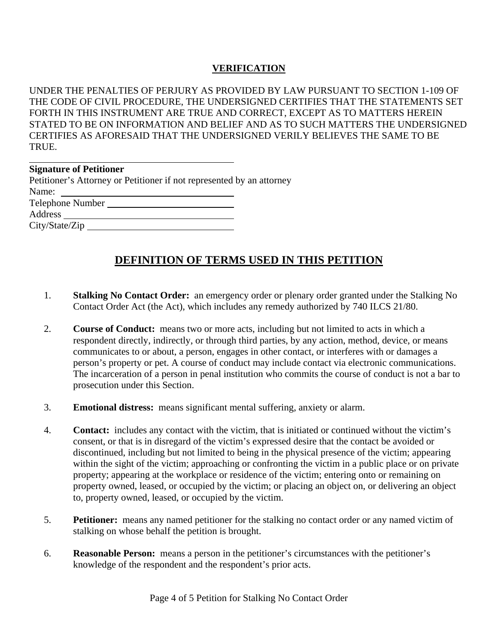## **VERIFICATION**

UNDER THE PENALTIES OF PERJURY AS PROVIDED BY LAW PURSUANT TO SECTION 1-109 OF THE CODE OF CIVIL PROCEDURE, THE UNDERSIGNED CERTIFIES THAT THE STATEMENTS SET FORTH IN THIS INSTRUMENT ARE TRUE AND CORRECT, EXCEPT AS TO MATTERS HEREIN STATED TO BE ON INFORMATION AND BELIEF AND AS TO SUCH MATTERS THE UNDERSIGNED CERTIFIES AS AFORESAID THAT THE UNDERSIGNED VERILY BELIEVES THE SAME TO BE TRUE.

| <b>Signature of Petitioner</b>                                                                     |
|----------------------------------------------------------------------------------------------------|
| Petitioner's Attorney or Petitioner if not represented by an attorney                              |
| Name:<br>the control of the control of the control of the control of the control of the control of |
| Telephone Number                                                                                   |
|                                                                                                    |
| City/State/Zip                                                                                     |

## **DEFINITION OF TERMS USED IN THIS PETITION**

- 1. **Stalking No Contact Order:** an emergency order or plenary order granted under the Stalking No Contact Order Act (the Act), which includes any remedy authorized by 740 ILCS 21/80.
- 2. **Course of Conduct:** means two or more acts, including but not limited to acts in which a respondent directly, indirectly, or through third parties, by any action, method, device, or means communicates to or about, a person, engages in other contact, or interferes with or damages a person's property or pet. A course of conduct may include contact via electronic communications. The incarceration of a person in penal institution who commits the course of conduct is not a bar to prosecution under this Section.
- 3. **Emotional distress:** means significant mental suffering, anxiety or alarm.
- 4. **Contact:** includes any contact with the victim, that is initiated or continued without the victim's consent, or that is in disregard of the victim's expressed desire that the contact be avoided or discontinued, including but not limited to being in the physical presence of the victim; appearing within the sight of the victim; approaching or confronting the victim in a public place or on private property; appearing at the workplace or residence of the victim; entering onto or remaining on property owned, leased, or occupied by the victim; or placing an object on, or delivering an object to, property owned, leased, or occupied by the victim.
- 5. **Petitioner:** means any named petitioner for the stalking no contact order or any named victim of stalking on whose behalf the petition is brought.
- 6. **Reasonable Person:** means a person in the petitioner's circumstances with the petitioner's knowledge of the respondent and the respondent's prior acts.